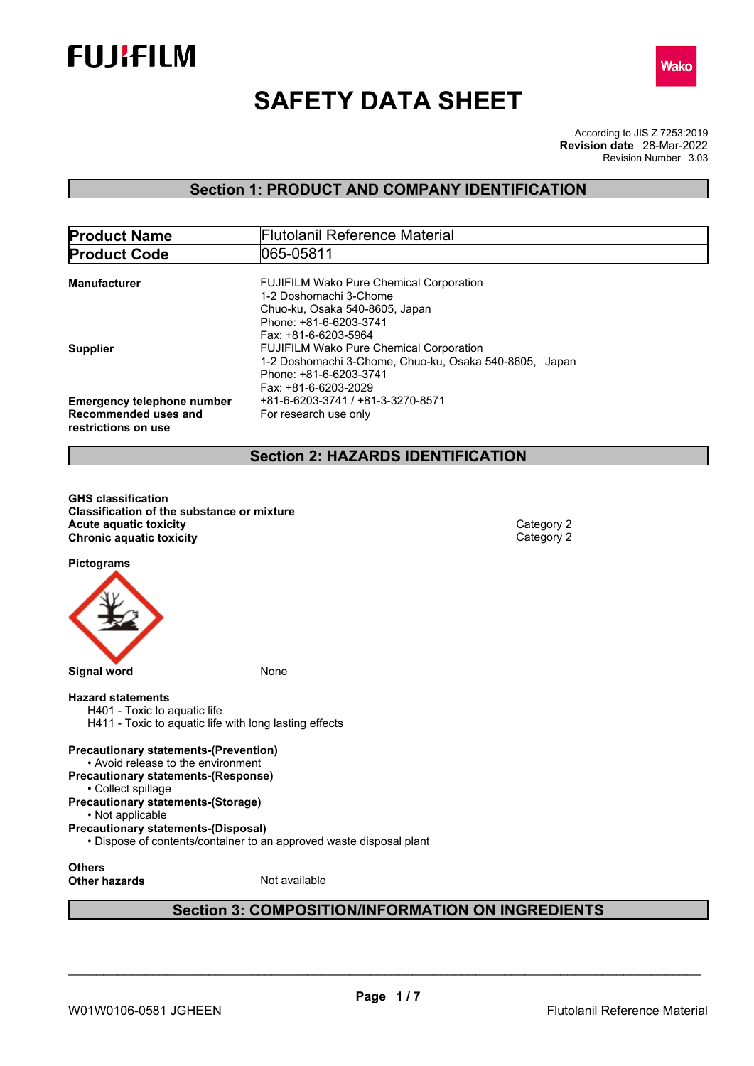



# **SAFETY DATA SHEET**

According to JIS Z 7253:2019 Revision Number 3.03 **Revision date** 28-Mar-2022

# **Section 1: PRODUCT AND COMPANY IDENTIFICATION**

| <b>Product Name</b>                                                              | <b>Flutolanil Reference Material</b>                                                                                                                         |
|----------------------------------------------------------------------------------|--------------------------------------------------------------------------------------------------------------------------------------------------------------|
| <b>Product Code</b>                                                              | 065-05811                                                                                                                                                    |
| <b>Manufacturer</b>                                                              | <b>FUJIFILM Wako Pure Chemical Corporation</b><br>1-2 Doshomachi 3-Chome<br>Chuo-ku, Osaka 540-8605, Japan<br>Phone: +81-6-6203-3741<br>Fax: +81-6-6203-5964 |
| <b>Supplier</b>                                                                  | <b>FUJIFILM Wako Pure Chemical Corporation</b><br>1-2 Doshomachi 3-Chome, Chuo-ku, Osaka 540-8605, Japan<br>Phone: +81-6-6203-3741<br>Fax: +81-6-6203-2029   |
| <b>Emergency telephone number</b><br>Recommended uses and<br>restrictions on use | +81-6-6203-3741 / +81-3-3270-8571<br>For research use only                                                                                                   |

# **Section 2: HAZARDS IDENTIFICATION**

**GHS classification Classification of the substance or mixture Acute** aquatic toxicity<br> **Category 2**<br> **Chronic aquatic toxicity**<br>
Category 2 **Chronic aquatic toxicity** 

**Pictograms**



#### **Hazard statements**

H401 - Toxic to aquatic life H411 - Toxic to aquatic life with long lasting effects

# **Precautionary statements-(Prevention)**

• Avoid release to the environment **Precautionary statements-(Response)**

• Collect spillage

# **Precautionary statements-(Storage)**

• Not applicable **Precautionary statements-(Disposal)**

• Dispose of contents/container to an approved waste disposal plant

**Others**

**Other hazards** Not available

# **Section 3: COMPOSITION/INFORMATION ON INGREDIENTS**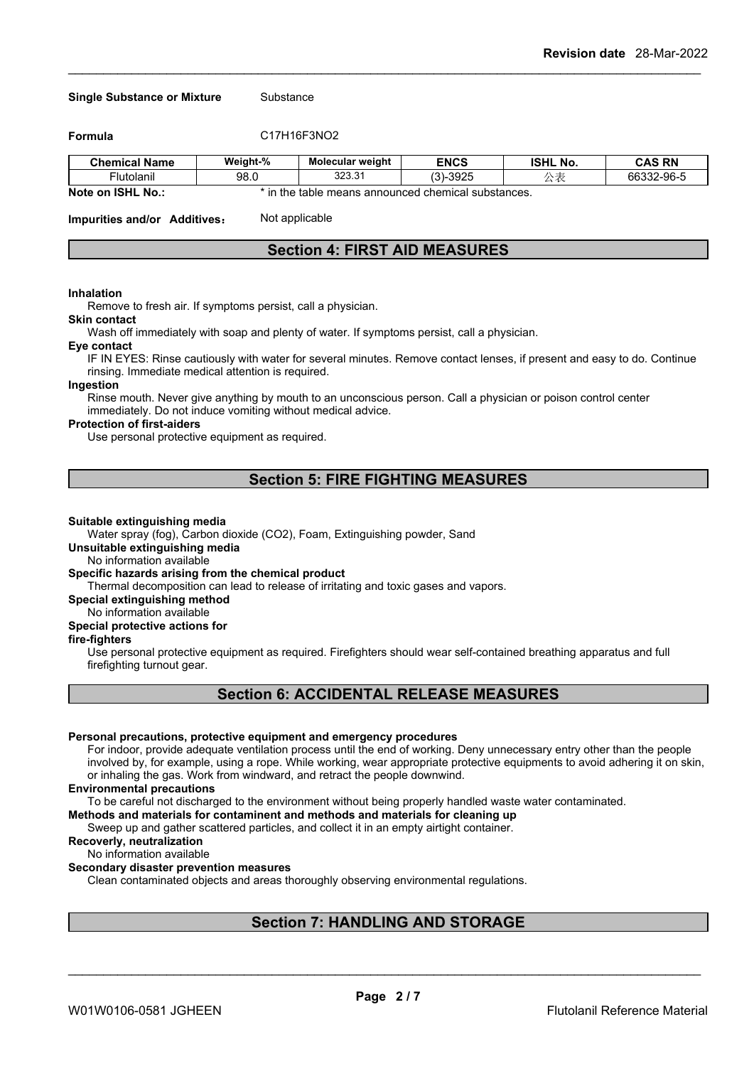#### **Single Substance or Mixture** Substance

**Formula** C17H16F3NO2

| <b>Chemical Name</b>                                                            | Weight-% | <b>Molecular weight</b>                                                  | <b>ENCS</b>                   | <b>ISHL No.</b> | <b>CAS RN</b>                        |
|---------------------------------------------------------------------------------|----------|--------------------------------------------------------------------------|-------------------------------|-----------------|--------------------------------------|
| ·lutolanıl                                                                      | 98.0     | 222.2<br>323.3                                                           | $\sim$<br>$\sim$<br>৩৬∠ে<br>ີ | <u>ົ</u>        | $\sim$<br>00000<br>66332-96<br>-ອບ-ວ |
| $\mathbf{M}$ . The set of $\mathbf{M}$ is a set of $\mathbf{M}$<br><b>SALES</b> |          | المتحاج والمستلق والمستنقص والمستحدث والمستند والمستحدث والماحية المسافر |                               |                 |                                      |

**Note on ISHL No.:** \* in the table means announced chemical substances.

**Impurities and/or Additives:** Not applicable

# **Section 4: FIRST AID MEASURES**

#### **Inhalation**

Remove to fresh air. If symptoms persist, call a physician.

#### **Skin contact**

Wash off immediately with soap and plenty of water. If symptoms persist, call a physician.

#### **Eye contact**

IF IN EYES: Rinse cautiously with water for several minutes. Remove contact lenses, if present and easy to do. Continue rinsing. Immediate medical attention is required.

#### **Ingestion**

Rinse mouth. Never give anything by mouth to an unconscious person. Call a physician or poison control center immediately. Do not induce vomiting without medical advice.

#### **Protection of first-aiders**

Use personal protective equipment as required.

## **Section 5: FIRE FIGHTING MEASURES**

#### **Suitable extinguishing media**

Water spray (fog), Carbon dioxide (CO2), Foam, Extinguishing powder, Sand

## **Unsuitable extinguishing media**

No information available

## **Specific hazards arising from the chemical product**

Thermal decomposition can lead to release of irritating and toxic gases and vapors.

#### **Special extinguishing method**

#### No information available

## **Special protective actions for**

#### **fire-fighters**

Use personal protective equipment as required.Firefighters should wear self-contained breathing apparatus and full firefighting turnout gear.

## **Section 6: ACCIDENTAL RELEASE MEASURES**

#### **Personal precautions, protective equipment and emergency procedures**

For indoor, provide adequate ventilation process until the end of working. Deny unnecessary entry other than the people involved by, for example, using a rope. While working, wear appropriate protective equipments to avoid adhering it on skin, or inhaling the gas. Work from windward, and retract the people downwind.

#### **Environmental precautions**

To be careful not discharged to the environment without being properly handled waste water contaminated.

**Methods and materials for contaminent and methods and materials for cleaning up**

Sweep up and gather scattered particles, and collect it in an empty airtight container.

**Recoverly, neutralization**

#### No information available

## **Secondary disaster prevention measures**

Clean contaminated objects and areas thoroughly observing environmental regulations.

# **Section 7: HANDLING AND STORAGE**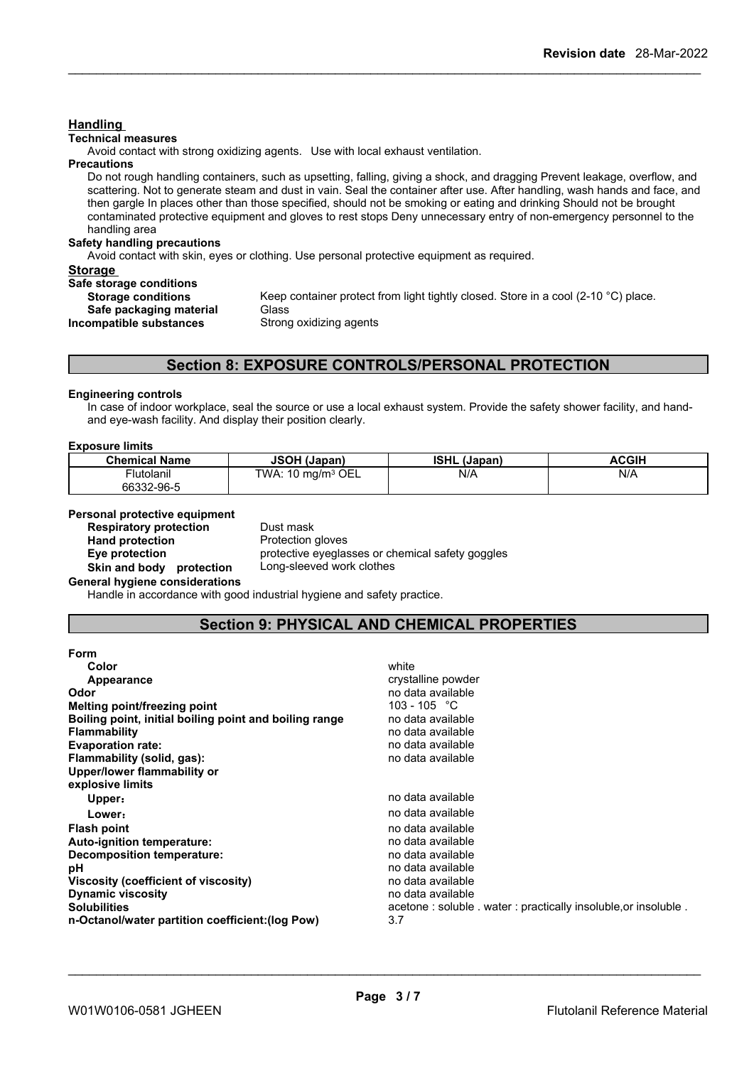## **Handling**

#### **Technical measures**

Avoid contact with strong oxidizing agents. Use with local exhaust ventilation.

#### **Precautions**

Do not rough handling containers, such as upsetting, falling, giving a shock, and dragging Prevent leakage, overflow, and scattering. Not to generate steam and dust in vain. Seal the container after use. After handling, wash hands and face, and then gargle In places other than those specified, should not be smoking or eating and drinking Should not be brought contaminated protective equipment and gloves to rest stops Deny unnecessary entry of non-emergency personnel to the handling area

## **Safety handling precautions**

Avoid contact with skin, eyes or clothing. Use personal protective equipment as required.

#### **Storage**

| Safe storage conditions   |                             |
|---------------------------|-----------------------------|
| <b>Storage conditions</b> | Keep container protect fron |
| Safe packaging material   | Glass                       |
| Incompatible substances   | Strong oxidizing agents     |

**Stect from light tightly closed. Store in a cool (2-10 °C) place.** 

## **Section 8: EXPOSURE CONTROLS/PERSONAL PROTECTION**

#### **Engineering controls**

In case of indoor workplace, seal the source or use a local exhaust system. Provide the safety shower facility, and handand eye-wash facility. And display their position clearly.

#### **Exposure limits**

| <b>Chemical Name</b> | <b>JSOH (Japan)</b>              | <b>ISHL</b><br>. (Japan) | <b>ACGIH</b> |
|----------------------|----------------------------------|--------------------------|--------------|
| Flutolanil           | OEL<br>TWA: 10 mg/m <sup>3</sup> | N/A                      | N/A          |
| 66332-96-5           |                                  |                          |              |

# **Personal protective equipment**<br>**Respiratory protection** Dust mask

**Respiratory protection** Dust mask<br> **Hand protection**<br> **Protection gloves Hand** protection

**Eye protection** protective eyeglasses or chemical safety goggles **Skin and body protection** Long-sleeved work clothes

#### **General hygiene considerations**

Handle in accordance with good industrial hygiene and safety practice.

## **Section 9: PHYSICAL AND CHEMICAL PROPERTIES**

| <b>Form</b>                                            |                                                                |
|--------------------------------------------------------|----------------------------------------------------------------|
| Color                                                  | white                                                          |
| Appearance                                             | crystalline powder                                             |
| Odor                                                   | no data available                                              |
| Melting point/freezing point                           | 103 - 105 °C                                                   |
| Boiling point, initial boiling point and boiling range | no data available                                              |
| <b>Flammability</b>                                    | no data available                                              |
| <b>Evaporation rate:</b>                               | no data available                                              |
| Flammability (solid, gas):                             | no data available                                              |
| Upper/lower flammability or                            |                                                                |
| explosive limits                                       |                                                                |
| Upper:                                                 | no data available                                              |
| Lower:                                                 | no data available                                              |
| <b>Flash point</b>                                     | no data available                                              |
| Auto-ignition temperature:                             | no data available                                              |
| Decomposition temperature:                             | no data available                                              |
| рH                                                     | no data available                                              |
| Viscosity (coefficient of viscosity)                   | no data available                                              |
| <b>Dynamic viscosity</b>                               | no data available                                              |
| <b>Solubilities</b>                                    | acetone: soluble . water: practically insoluble, or insoluble. |
| n-Octanol/water partition coefficient: (log Pow)       | 3.7                                                            |
|                                                        |                                                                |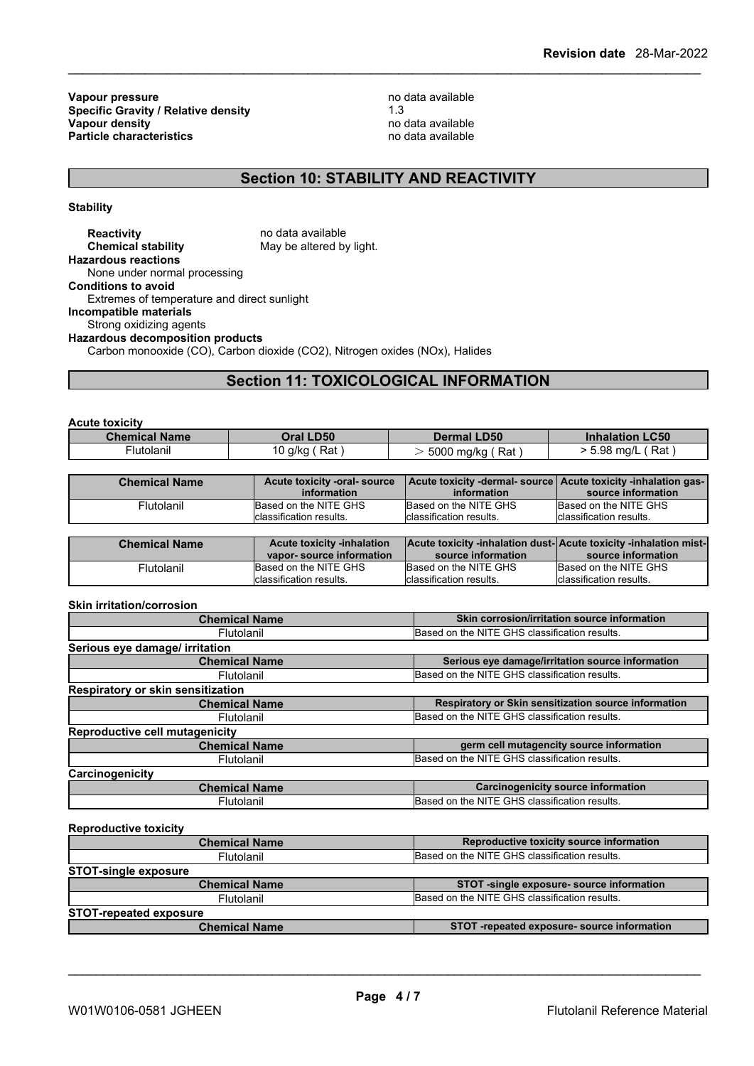**Vapour pressure**<br> **Specific Gravity / Relative density**<br> **Specific Gravity / Relative density**<br> **Property** 2.3 **Specific Gravity / Relative density** 1.3 **Vapour density** no data available **Particle characteristics** no data available

# **Section 10: STABILITY AND REACTIVITY**

**Stability**

**Reactivity** no data available<br> **Chemical stability** May be altered by May be altered by light. **Hazardous reactions** None under normal processing **Conditions to avoid** Extremes of temperature and direct sunlight **Incompatible materials** Strong oxidizing agents **Hazardous decomposition products** Carbon monooxide (CO), Carbon dioxide (CO2), Nitrogen oxides (NOx), Halides

# **Section 11: TOXICOLOGICAL INFORMATION**

| <b>Chemical Name</b><br><b>Dermal LD50</b><br>Oral LD50<br><b>Inhalation LC50</b><br>10 g/kg (Rat)<br>Flutolanil<br>. ( Rat<br>> 5.98 mq/L<br>5000 mg/kg (Rat) | <b>Acute toxicity</b> |  |  |
|----------------------------------------------------------------------------------------------------------------------------------------------------------------|-----------------------|--|--|
|                                                                                                                                                                |                       |  |  |
|                                                                                                                                                                |                       |  |  |

| <b>Chemical Name</b> | Acute toxicity -oral- source<br>information | Acute toxicity -dermal- source   Acute toxicity -inhalation gas-  <br>information | source information       |
|----------------------|---------------------------------------------|-----------------------------------------------------------------------------------|--------------------------|
| Flutolanil           | Based on the NITE GHS                       | Based on the NITE GHS                                                             | Based on the NITE GHS    |
|                      | classification results.                     | Iclassification results.                                                          | lclassification results. |
|                      |                                             |                                                                                   |                          |
|                      |                                             |                                                                                   |                          |
| <b>Chemical Name</b> | <b>Acute toxicity -inhalation</b>           | Acute toxicity -inhalation dust-Acute toxicity -inhalation mist-                  |                          |
|                      | vapor-source information                    | source information                                                                | source information       |
| Flutolanil           | Based on the NITE GHS                       | Based on the NITE GHS                                                             | Based on the NITE GHS    |

## **Skin irritation/corrosion**

| Skin corrosion/irritation source information<br><b>Chemical Name</b> |  |
|----------------------------------------------------------------------|--|
| Based on the NITE GHS classification results.                        |  |
|                                                                      |  |
| Serious eye damage/irritation source information                     |  |
| Based on the NITE GHS classification results.                        |  |
|                                                                      |  |
| Respiratory or Skin sensitization source information                 |  |
| Based on the NITE GHS classification results.                        |  |
|                                                                      |  |
| germ cell mutagencity source information                             |  |
| Based on the NITE GHS classification results.                        |  |
|                                                                      |  |
| <b>Carcinogenicity source information</b>                            |  |
| Based on the NITE GHS classification results.                        |  |
|                                                                      |  |

**Reproductive toxicity**

| <b>Chemical Name</b>          | Reproductive toxicity source information      |
|-------------------------------|-----------------------------------------------|
| Flutolanil                    | Based on the NITE GHS classification results. |
| <b>STOT-single exposure</b>   |                                               |
| <b>Chemical Name</b>          | STOT -single exposure- source information     |
| Flutolanil                    | Based on the NITE GHS classification results. |
| <b>STOT-repeated exposure</b> |                                               |
| <b>Chemical Name</b>          | STOT-repeated exposure-source information     |
|                               |                                               |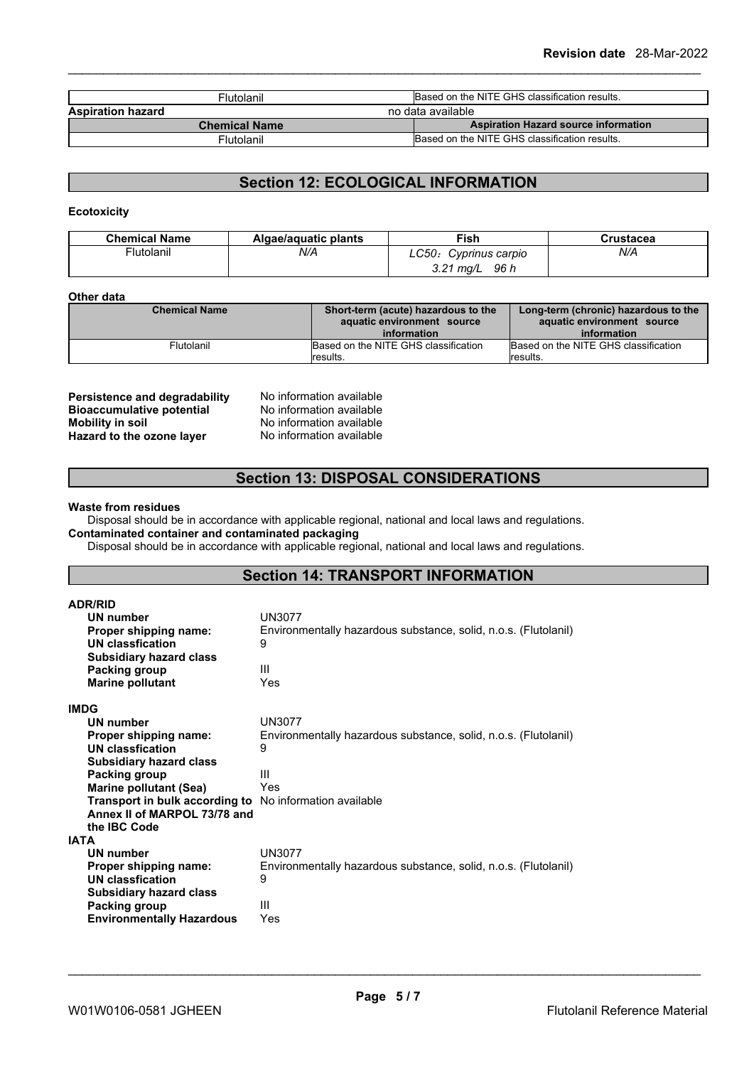| Flutolanil               | Based on the NITE GHS classification results. |
|--------------------------|-----------------------------------------------|
| <b>Aspiration hazard</b> | no data available                             |
| <b>Chemical Name</b>     | <b>Aspiration Hazard source information</b>   |
| Flutolanil               | Based on the NITE GHS classification results. |

# **Section 12: ECOLOGICAL INFORMATION**

## **Ecotoxicity**

| <b>Chemical Name</b> | Algae/aguatic plants | ™ish                        | Crustacea |
|----------------------|----------------------|-----------------------------|-----------|
| Flutolanil           | N/A                  | LC50:<br>Cyprinus carpio    | N/A       |
|                      |                      | 96 h<br>⊿י כ<br>ma/L<br>J.Z |           |

#### **Other data**

| <b>Chemical Name</b> | Short-term (acute) hazardous to the<br>aquatic environment source | Long-term (chronic) hazardous to the<br>aquatic environment source |  |
|----------------------|-------------------------------------------------------------------|--------------------------------------------------------------------|--|
|                      | information                                                       | information                                                        |  |
| Flutolanil           | Based on the NITE GHS classification<br>Iresults.                 | Based on the NITE GHS classification<br>Iresults.                  |  |

**Persistence and degradability** No information available<br>**Bioaccumulative potential** No information available **Bioaccumulative potential<br>Mobility in soil Hazard** to the ozone layer

No information available<br>No information available

## **Section 13: DISPOSAL CONSIDERATIONS**

#### **Waste from residues**

Disposal should be in accordance with applicable regional, national and local laws and regulations.

## **Contaminated container and contaminated packaging**

Disposal should be in accordance with applicable regional, national and local laws and regulations.

## **Section 14: TRANSPORT INFORMATION**

| <b>ADR/RID</b>                   |                                                                 |
|----------------------------------|-----------------------------------------------------------------|
| UN number                        | <b>UN3077</b>                                                   |
| Proper shipping name:            | Environmentally hazardous substance, solid, n.o.s. (Flutolanil) |
| UN classfication                 | 9                                                               |
| <b>Subsidiary hazard class</b>   |                                                                 |
| Packing group                    | Ш                                                               |
| <b>Marine pollutant</b>          | Yes                                                             |
| IMDG                             |                                                                 |
| <b>UN number</b>                 | <b>UN3077</b>                                                   |
| Proper shipping name:            | Environmentally hazardous substance, solid, n.o.s. (Flutolanil) |
| <b>UN classfication</b>          | 9                                                               |
| Subsidiary hazard class          |                                                                 |
| Packing group                    | Ш                                                               |
| <b>Marine pollutant (Sea)</b>    | Yes                                                             |
| Transport in bulk according to   | No information available                                        |
| Annex II of MARPOL 73/78 and     |                                                                 |
| the <b>IBC</b> Code              |                                                                 |
| IATA                             |                                                                 |
| UN number                        | <b>UN3077</b>                                                   |
| Proper shipping name:            | Environmentally hazardous substance, solid, n.o.s. (Flutolanil) |
| UN classfication                 | 9                                                               |
| <b>Subsidiary hazard class</b>   | Ш                                                               |
| Packing group                    |                                                                 |
| <b>Environmentally Hazardous</b> | Yes                                                             |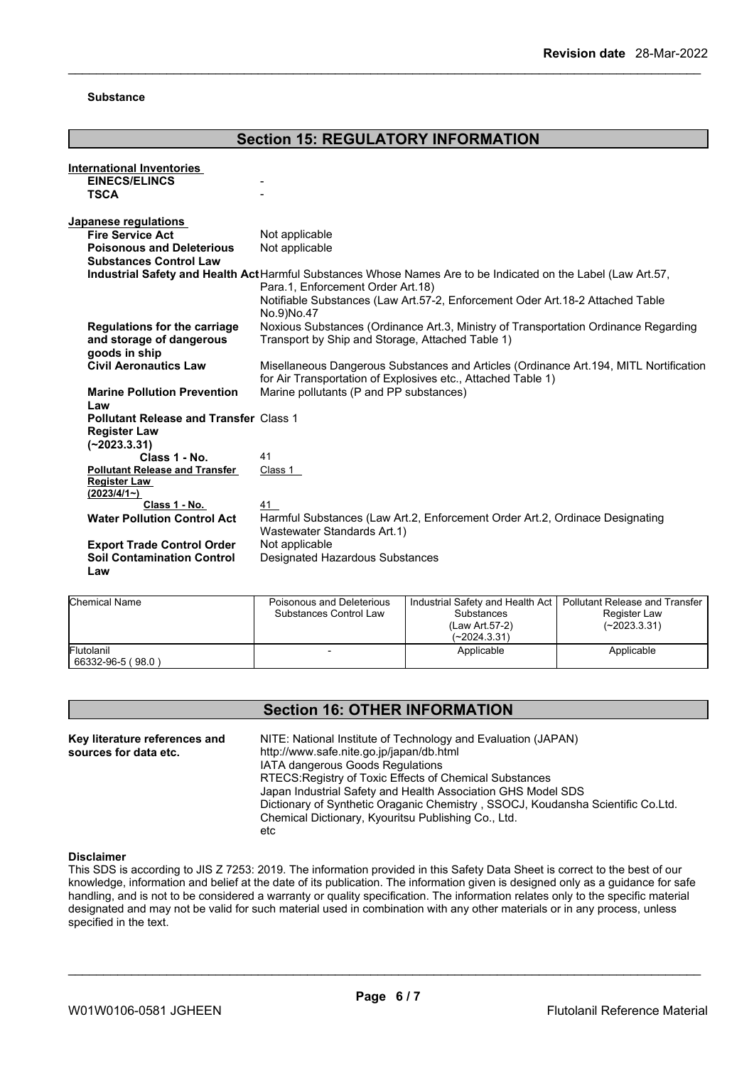#### **Substance**

#### **Section 15: REGULATORY INFORMATION International Inventories EINECS/ELINCS TSCA** - **Japanese regulations Fire Service Act** Not applicable **Poisonous and Deleterious Substances Control Law** Not applicable **Industrial Safety and Health Act**Harmful Substances Whose Names Are to be Indicated on the Label (Law Art.57, Para.1, Enforcement Order Art.18) Notifiable Substances (Law Art.57-2, Enforcement Oder Art.18-2 Attached Table No.9)No.47 **Regulations for the carriage and storage of dangerous goods in ship** Noxious Substances (Ordinance Art.3, Ministry of Transportation Ordinance Regarding Transport by Ship and Storage, Attached Table 1) **Civil Aeronautics Law** Misellaneous Dangerous Substances and Articles (Ordinance Art.194, MITL Nortification for Air Transportation of Explosives etc., Attached Table 1) **Marine Pollution Prevention Law** Marine pollutants (P and PP substances) **Pollutant Release and Transfer** Class 1 **Register Law (~2023.3.31) Class 1 - No.** 41 **Pollutant Release and Transfer Register Law (2023/4/1~)** Class 1 **Class 1 - No.** 41 **Water Pollution Control Act** Harmful Substances (Law Art.2, Enforcement Order Art.2, Ordinace Designating Wastewater Standards Art.1) **Export Trade Control Order** Not applicable **Soil Contamination Control** Designated Hazardous Substances

| <b>Chemical Name</b>            | Poisonous and Deleterious<br>Substances Control Law | Industrial Safety and Health Act<br><b>Substances</b><br>(Law Art 57-2)<br>$(-2024.3.31)$ | l Pollutant Release and Transfer<br>Register Law<br>(~2023.3.31) |
|---------------------------------|-----------------------------------------------------|-------------------------------------------------------------------------------------------|------------------------------------------------------------------|
| Flutolanil<br>66332-96-5 (98.0) |                                                     | Applicable                                                                                | Applicable                                                       |

# **Section 16: OTHER INFORMATION**

**Key literature references and Key literature references and** NITE: National Institute of Technology and Evaluation (JAPAN) sources for data etc. http://www.safe.nite.go.jp/japan/db.html IATA dangerous Goods Regulations RTECS:Registry of Toxic Effects of Chemical Substances Japan Industrial Safety and Health Association GHS Model SDS Dictionary of Synthetic Oraganic Chemistry , SSOCJ, Koudansha Scientific Co.Ltd. Chemical Dictionary, Kyouritsu Publishing Co., Ltd. etc

#### **Disclaimer**

**Law**

This SDS is according to JIS Z 7253: 2019. The information provided in this Safety Data Sheet is correct to the best of our knowledge, information and belief at the date of its publication. The information given is designed only as a guidance for safe handling, and is not to be considered a warranty or quality specification. The information relates only to the specific material designated and may not be valid for such material used in combination with any other materials or in any process, unless specified in the text.